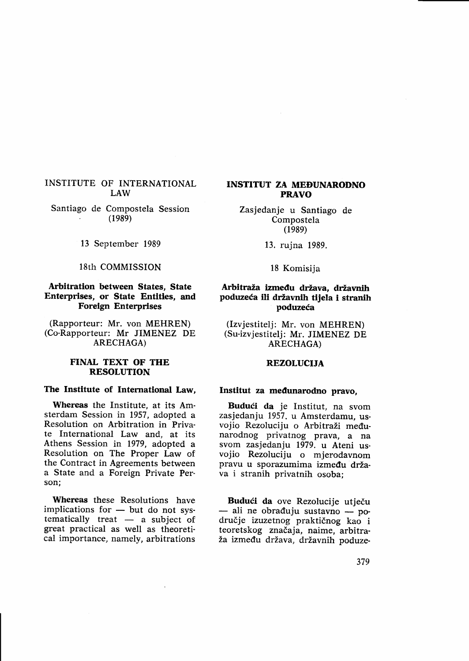# INSTITUTE OF INTERNATIONAL

Santiago de Compostela Session<br>(1989)

13 September 1989

## 18th COMMISSION

## Arbitration between States, State Enterprises, or State Entities, and Foreign Enterprises

(Rapporteur: Mr. von MEHREN) (Co-Rapporteur: Mr JIMENEZ DE ARECHAGA)

## FINAL TEXT OF THE RESOLUTION

#### The Institute of International Law,

Whereas the Institute, at its Amsterdam Session in 1957, adopted <sup>a</sup> Resolution on Arbitration in Private International Law and, at its Athens Session in 1979, adopted a Resolution on The Proper Law of the Contract in Agreements between a State and a Foreign Private Person;

Whereas these Resolutions have implications for - but do not sysimplications for  $-$  but do not systematically treat  $-$  a subject of great practical as well as theoretical importance, namely, arbitrations

# INSTITUT ZA MEDUNARODNO PRAVO

Zasjedanje u Santiago de Compostela  $(1989)$ 

13. rujna 1989.

18 Komisija

# Arbitraža između država, državnih poduzeća ili državnih tijela i stranih poduzeća

(Izvjestitelj: Mr. von MEHREN) (Su-izvjestitelj: Mr. JIMENEZ DE ARECHAGA)

## REZOLUCIJA

## Institut za medunarodno pravo,

Budući da je Institut, na svom zasjedanju 1957. u Amsterdamu, usvojio Rezoluciju o Arbitraži međunarodnog privatnog prava, a na vojio Rezoluciju o mjerodavnom pravu u sporazumima između država i stranih privatnih osoba;

Budući da ove Rezolucije utječu — ali ne obraduju sustavno — po-<br>dručje izuzetnog praktičnog kao i ali ne obrađuju sustavno — poteoretskog značaja, naime, arbitra-<br>ža između država, državnih poduze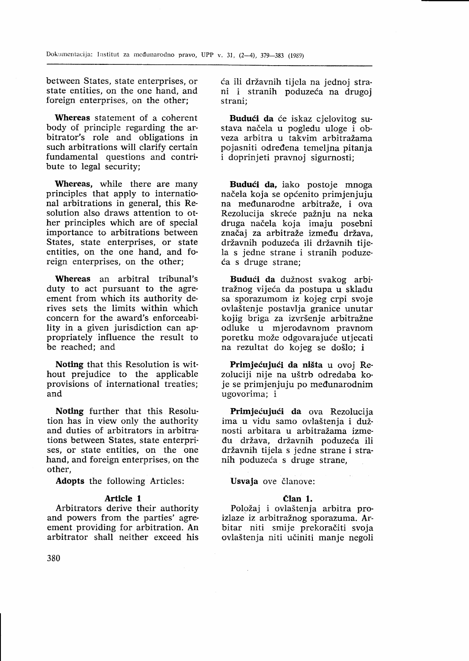between States, state enterprises, or state entities, on the one hand, and foreign enterprises, on the other;

Whereas statement of a coherent body of principle regarding the arbitrator's role and obligations in such arbitrations will clarify certain fundamental questions and contribute to legal security;

Whereas, while there are many principles that apply to international arbitrations in general, this Resolution also draws attention to other principles which are of special importance to arbitrations between States, state enterprises, or state entities, on the one hand, and foreign enterprises, on the other;

Whereas an arbitral tribunal's duty to act pursuant to the agreement from which its authority derives sets the limits within which concern for the award's enforceability in a given jurisdiction can ap' propriately influence the result to be reached; and

Noting that this Resolution is without prejudice to the applicable provisions of international treaties; and

Noting further that this Resolution has in view only the authority and duties of arbitrators in arbitrations between States, state enterprises, or state entities, on the one hand, and foreign enterprises, on the other,

Adopts the following Articles:

## Article I

Arbitrators derive their authority and powers from the parties' agreement providing for arbitration. An arbitrator shall neither exceed his

ća ili državnih tijela na jednoj strani i stranih poduzeća na drugoj strani;

Budući da će iskaz cjelovitog sustava načela u pogledu uloge i obveza arbitra u takvim arbitražama pojasniti odredena temeljna pitanja i doprinjeti pravnoj sigurnosti;

Budući da, iako postoje mnoga načela koja se općenito primjenjuju na međunarodne arbitraže, i ova Rezolucija skreće pažnju na neka druga nadela koja imaju posebni značaj za arbitraže između država. državnih poduzeća ili državnih tijela s jedne strane i stranih poduzeia s druge strane;

Budući da dužnost svakog arbitražnog vijeća da postupa u skladu sa sporazurnom iz kojeg crpi svoje ovlaStenje postavlja granice unutar kojig briga za izvršenje arbitražne odluke u mjerodavnom pravnom poretku može odgovarajuće utjecati na rezultat do kojeg se doSlo; i

Primjećujući da ništa u ovoj Rezoluciji nije na uštrb odredaba koje se primjenjuju po međunarodnim ugovorima; i

Primjećujući da ova Rezolucija ima u vidu samo ovlaštenja i dužnosti arbitara u arbitražama između država, državnih poduzeća ili državnih tijela s jedne strane i stranih poduzeća s druge strane,

Usvaja ove članove:

## elan 1.

Položaj i ovlaštenja arbitra proizlaze iz arbitražnog sporazuma. Arbitar niti smije prekoračiti svoja ovlaStenja niti udiniti manje negoli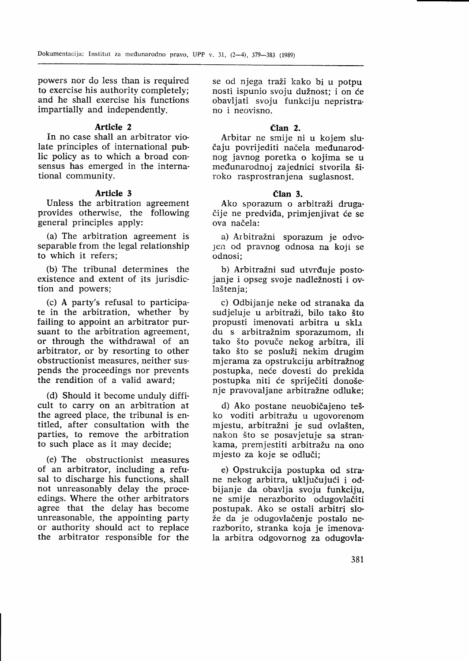powers nor do less than is required to exercise his authority completely; and he shall exercise his functions impartially and independently.

## Article 2

In no case shall an arbitrator violate principles of international public policy as to which a broad consensus has emerged in the international community.

#### Article <sup>3</sup>

Unless the arbitration agreement provides otherwise, the following general principles apply:

(a) The arbitration agreement is separable from the legal relationship to which it refers;

(b) The tribunal determines the existence and extent of its jurisdiction and powers;

(c) A party's refusal to participate in the arbitration, whether by failing to appoint an arbitrator pursuant to the arbitration agreement, or through the withdrawal of an arbitrator, or by resorting to other obstructionist measures, neither suspends the proceedings nor prevents the rendition of a valid award;

(d) Should it become unduly diffi cult to carry on an arbitration at the agreed place, the tribunal is entitled, after consultation with the parties, to remove the arbitration to such place as it may decide;

(e) The obstructionist measures of an arbitrator, including a refusal to discharge his functions, shall not unreasonably delay the proceedings. Where the other arbitrators agree that the delay has become unreasonable, the appointing party or authority should act to replace the arbitrator responsible for the se od njega traži kako bi u potpu nosti ispunio svoju dužnost: i on će obavljati svoju funkciju nepristrano i neovisno.

#### Član<sub>2</sub>

Arbitar ne smije ni u kojem slučaju povrijediti načela međunarodnog javnog poretka o kojima se u medunarodnoj zajednici stvorila 5iroko rasprostranjena suglasnost.

#### Član 3.

Ako sporazum o arbitraži drugačije ne predviđa, primjenjivat će se ova načela:

a) Arbitražni sporazum je odvojeil od pravnog odnosa na koji se odnosi;

b) Arbitražni sud utvrđuje postojanje i opseg svoje nadležnosti i ovlaštenia:

c) Odbijanje neke od stranaka da sudjeluje u arbitraži, bilo tako što propusti imenovati arbitra u skla du s arbitražnim sporazumom, ili tako što povuče nekog arbitra, ili tako što se posluži nekim drugim mjerama za opstrukciju arbitražnog postupka, neće dovesti do prekida postupka niti će spriječiti donošenje pravovaljane arbitražne odluke;

d) Ako postane neuobičajeno teško voditi arbitražu u ugovorenom mjestu, arbitražni je sud ovlašten. nakon što se posavjetuje sa strankama, premjestiti arbitražu na ono mjesto za koje se odludi;

e) Opstrukcija postupka od strane nekog arbitra, uključujući i odbijanje da obavlja svoju funkciju, ne smije nerazborito odugovladiti postupak. Ako se ostali arbitri slože da je odugovlačenje postalo nerazborito, stranka koja je imenovala arbitra odgovornog za odugovla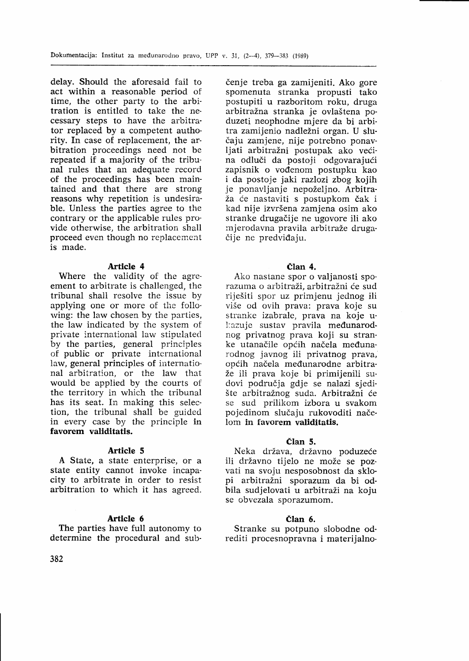delay. Should the aforesaid fail to act within a reasonable period of time, the other party to the arbitration is entitled to take the necessary steps to have the arbitrator replaced by a competent authority. In case of replacement, the arbitration proceedings need not be repeated if a majority of the tribunal rules that an adequate record of the proceedings has been maintained and that there are strong reasons why repetition is undesira' ble. Unless the parties agree to the contrary or the applicable rules provide otherwise, the arbitration shall proceed even though no replacement is made.

#### Article 4

Where the validity of the agreement to arbitrate is challenged, the tribunal shali resolve the issue by applying one or more of the following: the law chosen by the parties, the law indicated by the system of private international law stipulated by the parties, general principles of public or private international law, general principles of international arbitration, or the law that would be applied by the courts of the territory in which the tribunal has its seat. In making this selection, the tribunal shall be guided in every case by the principle in favorem validitatis.

#### Article <sup>5</sup>

A State, a state enterprise, or <sup>a</sup> state entity cannot invoke incapacity to arbitrate in order to resist arbitration to which it has agreed.

#### Article 6

The parties have full autonomy to determine the procedural and subčenje treba ga zamijeniti. Ako gore spomenuta stranka propusti tako postupiti u razboritom roku, druga arbitražna stranka je ovlaštena poduzeti neophodne mjere da bi arbitra zamijenio nadležni organ. U slučaju zamjene, nije potrebno ponavljati arbitražni postupak ako većina odluči da postoji odgovarajući zapisnik o vođenom postupku kao<br>i da postoje jaki razlozi zbog kojih je ponavljanje nepoželjno. Arbitraža će nastaviti s postupkom čak i kad nije izvršena zamjena osim ako stranke drugadije ne ugovore ili ako mjerodavna pravila arbitraže drugačije ne predviđaju.

#### Član 4.

Ako nastane spor o valjanosti sporazuma o arbitraži, arbitražni će sud rije5iti spor uz primjenu jednog ili više od ovih prava: prava koje su stranke izabrale, prava na koje ukazuje sustav pravila međunarodnog privatnog prava koji su stranke utanačile općih načela međunarodnog javnog ili privatnog prava, općih načela međunarodne arbitraže ili prava koje bi primijenili sudovi podrudja gdje se nalazi sjedište arbitražnog suda. Arbitražni će se sud prilikom izbora u svakom pojedinom slučaju rukovoditi načelom in favorem validitatis.

#### elan 5.

Neka država, državno poduzeće ili državno tijelo ne može se pozvati na svoju nesposobnost da sklo-<br>pi arbitražni sporazum da bi odbila sudjelovati u arbitraži na koju se obvezala sporazumom.

## elan 6.

Stranke su potpuno slobodne odrediti procesnopravna i materijalno